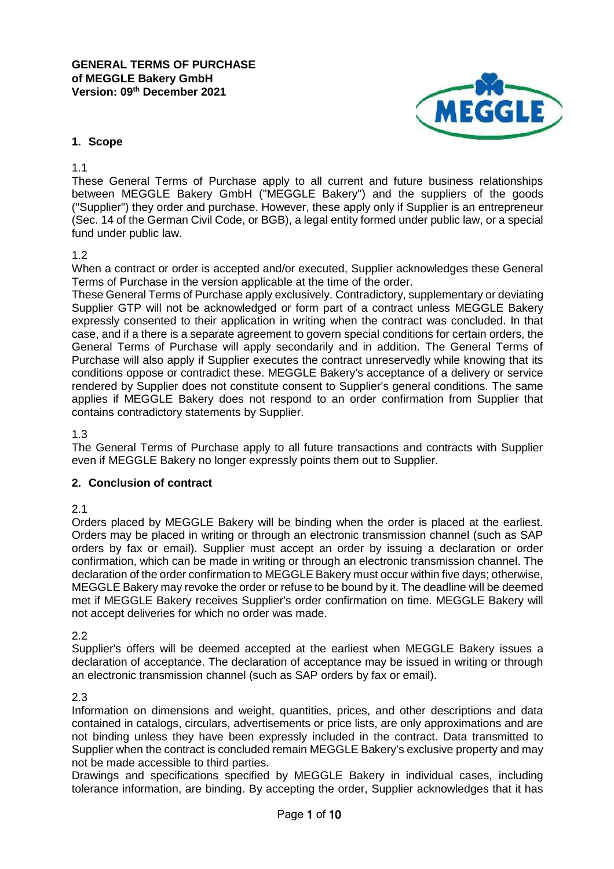

### **1. Scope**

1.1

These General Terms of Purchase apply to all current and future business relationships between MEGGLE Bakery GmbH ("MEGGLE Bakery") and the suppliers of the goods ("Supplier") they order and purchase. However, these apply only if Supplier is an entrepreneur (Sec. 14 of the German Civil Code, or BGB), a legal entity formed under public law, or a special fund under public law.

### 1.2

When a contract or order is accepted and/or executed, Supplier acknowledges these General Terms of Purchase in the version applicable at the time of the order.

These General Terms of Purchase apply exclusively. Contradictory, supplementary or deviating Supplier GTP will not be acknowledged or form part of a contract unless MEGGLE Bakery expressly consented to their application in writing when the contract was concluded. In that case, and if a there is a separate agreement to govern special conditions for certain orders, the General Terms of Purchase will apply secondarily and in addition. The General Terms of Purchase will also apply if Supplier executes the contract unreservedly while knowing that its conditions oppose or contradict these. MEGGLE Bakery's acceptance of a delivery or service rendered by Supplier does not constitute consent to Supplier's general conditions. The same applies if MEGGLE Bakery does not respond to an order confirmation from Supplier that contains contradictory statements by Supplier.

1.3

The General Terms of Purchase apply to all future transactions and contracts with Supplier even if MEGGLE Bakery no longer expressly points them out to Supplier.

### **2. Conclusion of contract**

### 2.1

Orders placed by MEGGLE Bakery will be binding when the order is placed at the earliest. Orders may be placed in writing or through an electronic transmission channel (such as SAP orders by fax or email). Supplier must accept an order by issuing a declaration or order confirmation, which can be made in writing or through an electronic transmission channel. The declaration of the order confirmation to MEGGLE Bakery must occur within five days; otherwise, MEGGLE Bakery may revoke the order or refuse to be bound by it. The deadline will be deemed met if MEGGLE Bakery receives Supplier's order confirmation on time. MEGGLE Bakery will not accept deliveries for which no order was made.

2.2

Supplier's offers will be deemed accepted at the earliest when MEGGLE Bakery issues a declaration of acceptance. The declaration of acceptance may be issued in writing or through an electronic transmission channel (such as SAP orders by fax or email).

2.3

Information on dimensions and weight, quantities, prices, and other descriptions and data contained in catalogs, circulars, advertisements or price lists, are only approximations and are not binding unless they have been expressly included in the contract. Data transmitted to Supplier when the contract is concluded remain MEGGLE Bakery's exclusive property and may not be made accessible to third parties.

Drawings and specifications specified by MEGGLE Bakery in individual cases, including tolerance information, are binding. By accepting the order, Supplier acknowledges that it has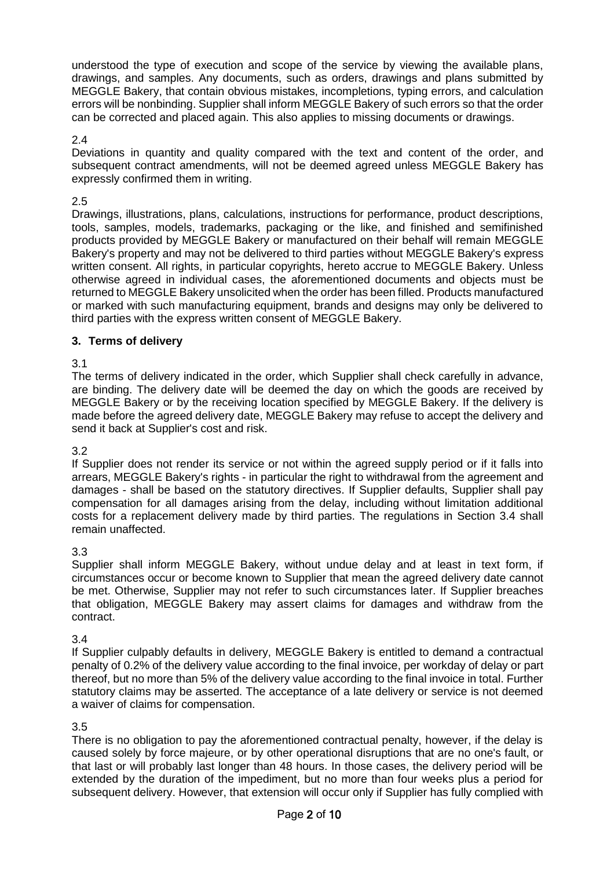understood the type of execution and scope of the service by viewing the available plans, drawings, and samples. Any documents, such as orders, drawings and plans submitted by MEGGLE Bakery, that contain obvious mistakes, incompletions, typing errors, and calculation errors will be nonbinding. Supplier shall inform MEGGLE Bakery of such errors so that the order can be corrected and placed again. This also applies to missing documents or drawings.

## 2.4

Deviations in quantity and quality compared with the text and content of the order, and subsequent contract amendments, will not be deemed agreed unless MEGGLE Bakery has expressly confirmed them in writing.

## 2.5

Drawings, illustrations, plans, calculations, instructions for performance, product descriptions, tools, samples, models, trademarks, packaging or the like, and finished and semifinished products provided by MEGGLE Bakery or manufactured on their behalf will remain MEGGLE Bakery's property and may not be delivered to third parties without MEGGLE Bakery's express written consent. All rights, in particular copyrights, hereto accrue to MEGGLE Bakery. Unless otherwise agreed in individual cases, the aforementioned documents and objects must be returned to MEGGLE Bakery unsolicited when the order has been filled. Products manufactured or marked with such manufacturing equipment, brands and designs may only be delivered to third parties with the express written consent of MEGGLE Bakery.

# **3. Terms of delivery**

## 3.1

The terms of delivery indicated in the order, which Supplier shall check carefully in advance, are binding. The delivery date will be deemed the day on which the goods are received by MEGGLE Bakery or by the receiving location specified by MEGGLE Bakery. If the delivery is made before the agreed delivery date, MEGGLE Bakery may refuse to accept the delivery and send it back at Supplier's cost and risk.

### 3.2

If Supplier does not render its service or not within the agreed supply period or if it falls into arrears, MEGGLE Bakery's rights - in particular the right to withdrawal from the agreement and damages - shall be based on the statutory directives. If Supplier defaults, Supplier shall pay compensation for all damages arising from the delay, including without limitation additional costs for a replacement delivery made by third parties. The regulations in Section 3.4 shall remain unaffected.

### 3.3

Supplier shall inform MEGGLE Bakery, without undue delay and at least in text form, if circumstances occur or become known to Supplier that mean the agreed delivery date cannot be met. Otherwise, Supplier may not refer to such circumstances later. If Supplier breaches that obligation, MEGGLE Bakery may assert claims for damages and withdraw from the contract.

### 3.4

If Supplier culpably defaults in delivery, MEGGLE Bakery is entitled to demand a contractual penalty of 0.2% of the delivery value according to the final invoice, per workday of delay or part thereof, but no more than 5% of the delivery value according to the final invoice in total. Further statutory claims may be asserted. The acceptance of a late delivery or service is not deemed a waiver of claims for compensation.

### 3.5

There is no obligation to pay the aforementioned contractual penalty, however, if the delay is caused solely by force majeure, or by other operational disruptions that are no one's fault, or that last or will probably last longer than 48 hours. In those cases, the delivery period will be extended by the duration of the impediment, but no more than four weeks plus a period for subsequent delivery. However, that extension will occur only if Supplier has fully complied with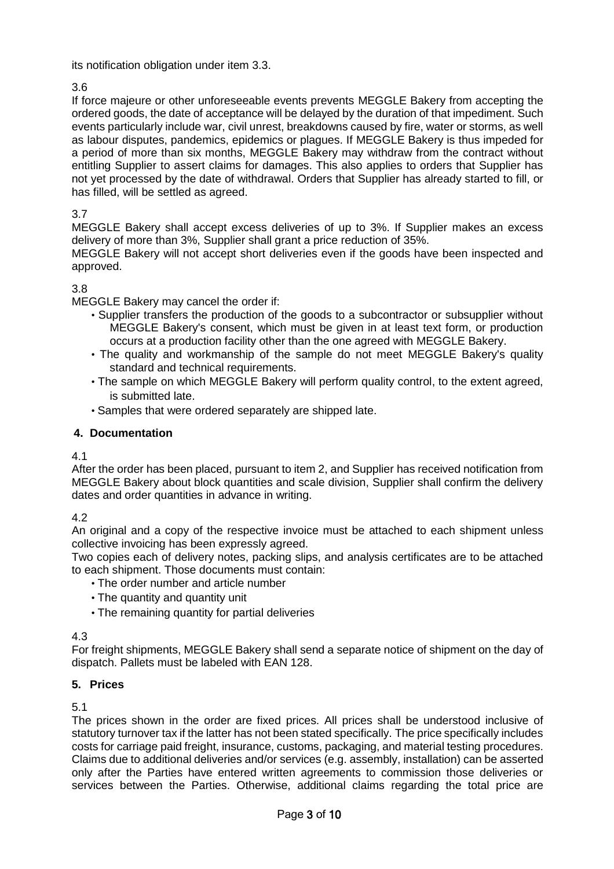its notification obligation under item 3.3.

# 3.6

If force majeure or other unforeseeable events prevents MEGGLE Bakery from accepting the ordered goods, the date of acceptance will be delayed by the duration of that impediment. Such events particularly include war, civil unrest, breakdowns caused by fire, water or storms, as well as labour disputes, pandemics, epidemics or plagues. If MEGGLE Bakery is thus impeded for a period of more than six months, MEGGLE Bakery may withdraw from the contract without entitling Supplier to assert claims for damages. This also applies to orders that Supplier has not yet processed by the date of withdrawal. Orders that Supplier has already started to fill, or has filled, will be settled as agreed.

# 3.7

MEGGLE Bakery shall accept excess deliveries of up to 3%. If Supplier makes an excess delivery of more than 3%, Supplier shall grant a price reduction of 35%.

MEGGLE Bakery will not accept short deliveries even if the goods have been inspected and approved.

## 3.8

MEGGLE Bakery may cancel the order if:

- Supplier transfers the production of the goods to a subcontractor or subsupplier without MEGGLE Bakery's consent, which must be given in at least text form, or production occurs at a production facility other than the one agreed with MEGGLE Bakery.
- The quality and workmanship of the sample do not meet MEGGLE Bakery's quality standard and technical requirements.
- The sample on which MEGGLE Bakery will perform quality control, to the extent agreed, is submitted late.
- Samples that were ordered separately are shipped late.

## **4. Documentation**

4.1

After the order has been placed, pursuant to item 2, and Supplier has received notification from MEGGLE Bakery about block quantities and scale division, Supplier shall confirm the delivery dates and order quantities in advance in writing.

4.2

An original and a copy of the respective invoice must be attached to each shipment unless collective invoicing has been expressly agreed.

Two copies each of delivery notes, packing slips, and analysis certificates are to be attached to each shipment. Those documents must contain:

- The order number and article number
- The quantity and quantity unit
- The remaining quantity for partial deliveries

4.3

For freight shipments, MEGGLE Bakery shall send a separate notice of shipment on the day of dispatch. Pallets must be labeled with EAN 128.

# **5. Prices**

5.1

The prices shown in the order are fixed prices. All prices shall be understood inclusive of statutory turnover tax if the latter has not been stated specifically. The price specifically includes costs for carriage paid freight, insurance, customs, packaging, and material testing procedures. Claims due to additional deliveries and/or services (e.g. assembly, installation) can be asserted only after the Parties have entered written agreements to commission those deliveries or services between the Parties. Otherwise, additional claims regarding the total price are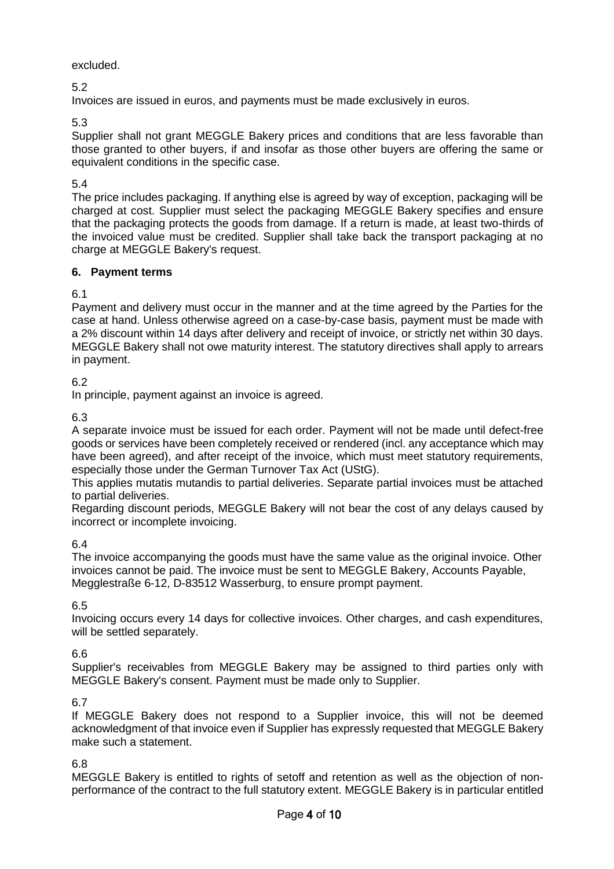## excluded.

5.2

Invoices are issued in euros, and payments must be made exclusively in euros.

5.3

Supplier shall not grant MEGGLE Bakery prices and conditions that are less favorable than those granted to other buyers, if and insofar as those other buyers are offering the same or equivalent conditions in the specific case.

# 5.4

The price includes packaging. If anything else is agreed by way of exception, packaging will be charged at cost. Supplier must select the packaging MEGGLE Bakery specifies and ensure that the packaging protects the goods from damage. If a return is made, at least two-thirds of the invoiced value must be credited. Supplier shall take back the transport packaging at no charge at MEGGLE Bakery's request.

# **6. Payment terms**

6.1

Payment and delivery must occur in the manner and at the time agreed by the Parties for the case at hand. Unless otherwise agreed on a case-by-case basis, payment must be made with a 2% discount within 14 days after delivery and receipt of invoice, or strictly net within 30 days. MEGGLE Bakery shall not owe maturity interest. The statutory directives shall apply to arrears in payment.

# 6.2

In principle, payment against an invoice is agreed.

6.3

A separate invoice must be issued for each order. Payment will not be made until defect-free goods or services have been completely received or rendered (incl. any acceptance which may have been agreed), and after receipt of the invoice, which must meet statutory requirements, especially those under the German Turnover Tax Act (UStG).

This applies mutatis mutandis to partial deliveries. Separate partial invoices must be attached to partial deliveries.

Regarding discount periods, MEGGLE Bakery will not bear the cost of any delays caused by incorrect or incomplete invoicing.

# 6.4

The invoice accompanying the goods must have the same value as the original invoice. Other invoices cannot be paid. The invoice must be sent to MEGGLE Bakery, Accounts Payable, Megglestraße 6-12, D-83512 Wasserburg, to ensure prompt payment.

# 6.5

Invoicing occurs every 14 days for collective invoices. Other charges, and cash expenditures, will be settled separately.

# 6.6

Supplier's receivables from MEGGLE Bakery may be assigned to third parties only with MEGGLE Bakery's consent. Payment must be made only to Supplier.

### 6.7

If MEGGLE Bakery does not respond to a Supplier invoice, this will not be deemed acknowledgment of that invoice even if Supplier has expressly requested that MEGGLE Bakery make such a statement.

### 6.8

MEGGLE Bakery is entitled to rights of setoff and retention as well as the objection of nonperformance of the contract to the full statutory extent. MEGGLE Bakery is in particular entitled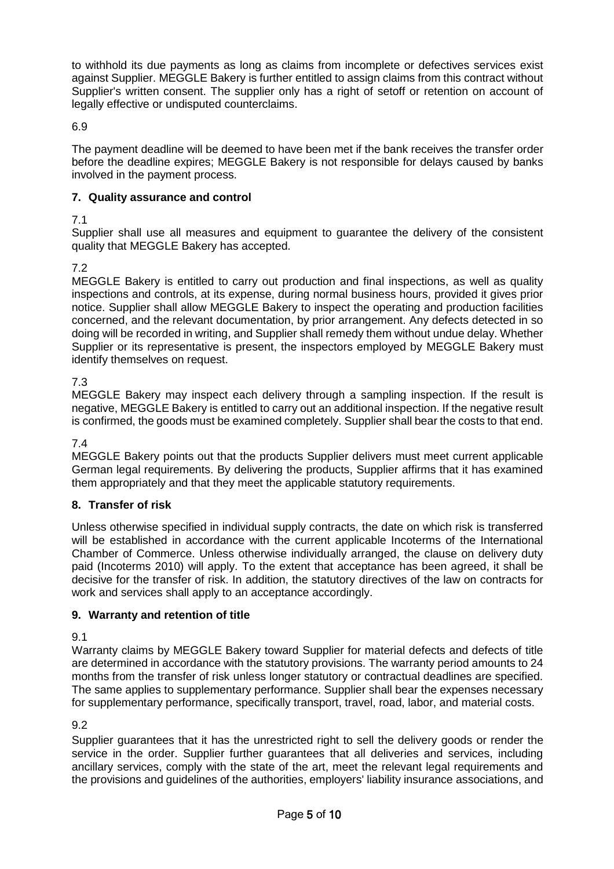to withhold its due payments as long as claims from incomplete or defectives services exist against Supplier. MEGGLE Bakery is further entitled to assign claims from this contract without Supplier's written consent. The supplier only has a right of setoff or retention on account of legally effective or undisputed counterclaims.

6.9

The payment deadline will be deemed to have been met if the bank receives the transfer order before the deadline expires; MEGGLE Bakery is not responsible for delays caused by banks involved in the payment process.

# **7. Quality assurance and control**

# 7.1

Supplier shall use all measures and equipment to guarantee the delivery of the consistent quality that MEGGLE Bakery has accepted.

# 7.2

MEGGLE Bakery is entitled to carry out production and final inspections, as well as quality inspections and controls, at its expense, during normal business hours, provided it gives prior notice. Supplier shall allow MEGGLE Bakery to inspect the operating and production facilities concerned, and the relevant documentation, by prior arrangement. Any defects detected in so doing will be recorded in writing, and Supplier shall remedy them without undue delay. Whether Supplier or its representative is present, the inspectors employed by MEGGLE Bakery must identify themselves on request.

# 7.3

MEGGLE Bakery may inspect each delivery through a sampling inspection. If the result is negative, MEGGLE Bakery is entitled to carry out an additional inspection. If the negative result is confirmed, the goods must be examined completely. Supplier shall bear the costs to that end.

7.4

MEGGLE Bakery points out that the products Supplier delivers must meet current applicable German legal requirements. By delivering the products, Supplier affirms that it has examined them appropriately and that they meet the applicable statutory requirements.

# **8. Transfer of risk**

Unless otherwise specified in individual supply contracts, the date on which risk is transferred will be established in accordance with the current applicable Incoterms of the International Chamber of Commerce. Unless otherwise individually arranged, the clause on delivery duty paid (Incoterms 2010) will apply. To the extent that acceptance has been agreed, it shall be decisive for the transfer of risk. In addition, the statutory directives of the law on contracts for work and services shall apply to an acceptance accordingly.

# **9. Warranty and retention of title**

9.1

Warranty claims by MEGGLE Bakery toward Supplier for material defects and defects of title are determined in accordance with the statutory provisions. The warranty period amounts to 24 months from the transfer of risk unless longer statutory or contractual deadlines are specified. The same applies to supplementary performance. Supplier shall bear the expenses necessary for supplementary performance, specifically transport, travel, road, labor, and material costs.

# 9.2

Supplier guarantees that it has the unrestricted right to sell the delivery goods or render the service in the order. Supplier further guarantees that all deliveries and services, including ancillary services, comply with the state of the art, meet the relevant legal requirements and the provisions and guidelines of the authorities, employers' liability insurance associations, and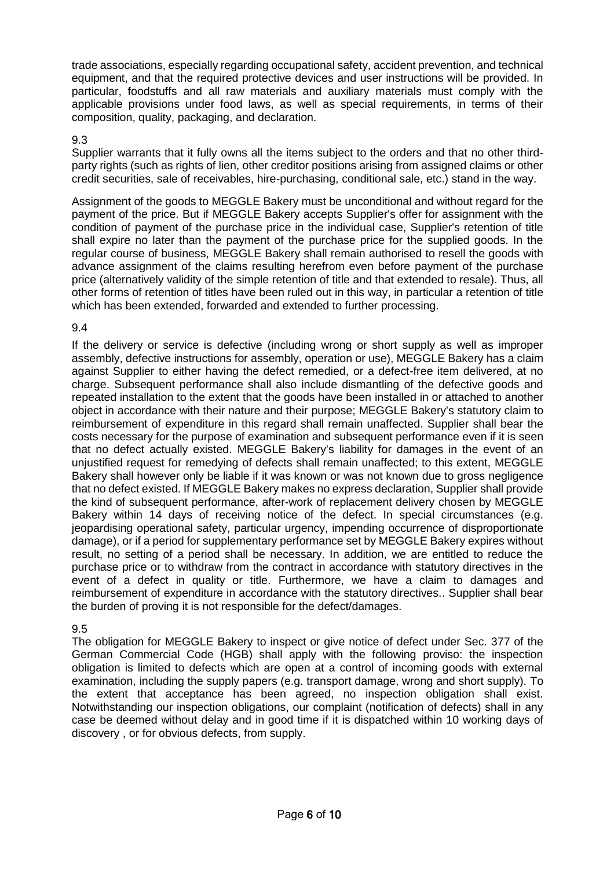trade associations, especially regarding occupational safety, accident prevention, and technical equipment, and that the required protective devices and user instructions will be provided. In particular, foodstuffs and all raw materials and auxiliary materials must comply with the applicable provisions under food laws, as well as special requirements, in terms of their composition, quality, packaging, and declaration.

## 9.3

Supplier warrants that it fully owns all the items subject to the orders and that no other thirdparty rights (such as rights of lien, other creditor positions arising from assigned claims or other credit securities, sale of receivables, hire-purchasing, conditional sale, etc.) stand in the way.

Assignment of the goods to MEGGLE Bakery must be unconditional and without regard for the payment of the price. But if MEGGLE Bakery accepts Supplier's offer for assignment with the condition of payment of the purchase price in the individual case, Supplier's retention of title shall expire no later than the payment of the purchase price for the supplied goods. In the regular course of business, MEGGLE Bakery shall remain authorised to resell the goods with advance assignment of the claims resulting herefrom even before payment of the purchase price (alternatively validity of the simple retention of title and that extended to resale). Thus, all other forms of retention of titles have been ruled out in this way, in particular a retention of title which has been extended, forwarded and extended to further processing.

## 9.4

If the delivery or service is defective (including wrong or short supply as well as improper assembly, defective instructions for assembly, operation or use), MEGGLE Bakery has a claim against Supplier to either having the defect remedied, or a defect-free item delivered, at no charge. Subsequent performance shall also include dismantling of the defective goods and repeated installation to the extent that the goods have been installed in or attached to another object in accordance with their nature and their purpose; MEGGLE Bakery's statutory claim to reimbursement of expenditure in this regard shall remain unaffected. Supplier shall bear the costs necessary for the purpose of examination and subsequent performance even if it is seen that no defect actually existed. MEGGLE Bakery's liability for damages in the event of an unjustified request for remedying of defects shall remain unaffected; to this extent, MEGGLE Bakery shall however only be liable if it was known or was not known due to gross negligence that no defect existed. If MEGGLE Bakery makes no express declaration, Supplier shall provide the kind of subsequent performance, after-work of replacement delivery chosen by MEGGLE Bakery within 14 days of receiving notice of the defect. In special circumstances (e.g. jeopardising operational safety, particular urgency, impending occurrence of disproportionate damage), or if a period for supplementary performance set by MEGGLE Bakery expires without result, no setting of a period shall be necessary. In addition, we are entitled to reduce the purchase price or to withdraw from the contract in accordance with statutory directives in the event of a defect in quality or title. Furthermore, we have a claim to damages and reimbursement of expenditure in accordance with the statutory directives.. Supplier shall bear the burden of proving it is not responsible for the defect/damages.

### 9.5

The obligation for MEGGLE Bakery to inspect or give notice of defect under Sec. 377 of the German Commercial Code (HGB) shall apply with the following proviso: the inspection obligation is limited to defects which are open at a control of incoming goods with external examination, including the supply papers (e.g. transport damage, wrong and short supply). To the extent that acceptance has been agreed, no inspection obligation shall exist. Notwithstanding our inspection obligations, our complaint (notification of defects) shall in any case be deemed without delay and in good time if it is dispatched within 10 working days of discovery , or for obvious defects, from supply.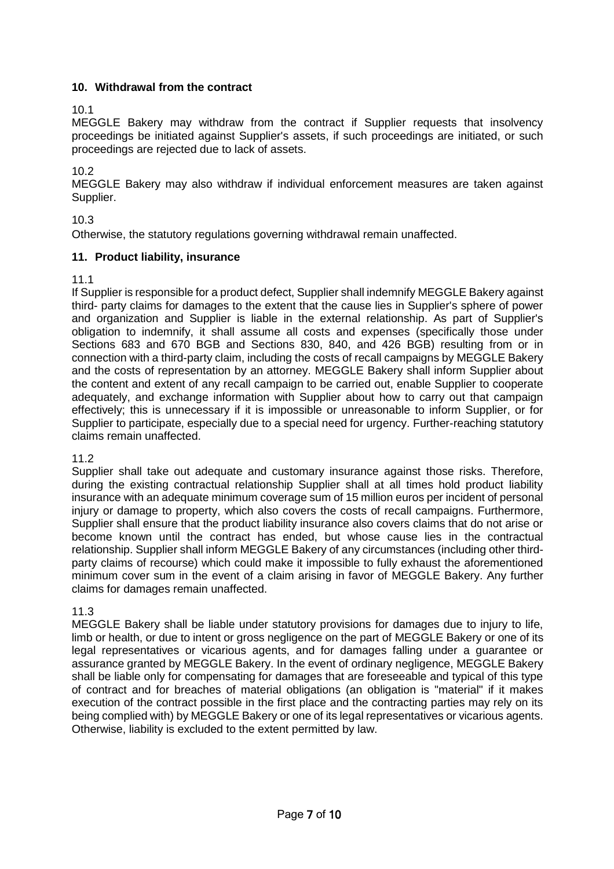# **10. Withdrawal from the contract**

10.1

MEGGLE Bakery may withdraw from the contract if Supplier requests that insolvency proceedings be initiated against Supplier's assets, if such proceedings are initiated, or such proceedings are rejected due to lack of assets.

10.2

MEGGLE Bakery may also withdraw if individual enforcement measures are taken against Supplier.

10.3

Otherwise, the statutory regulations governing withdrawal remain unaffected.

## **11. Product liability, insurance**

11.1

If Supplier is responsible for a product defect, Supplier shall indemnify MEGGLE Bakery against third- party claims for damages to the extent that the cause lies in Supplier's sphere of power and organization and Supplier is liable in the external relationship. As part of Supplier's obligation to indemnify, it shall assume all costs and expenses (specifically those under Sections 683 and 670 BGB and Sections 830, 840, and 426 BGB) resulting from or in connection with a third-party claim, including the costs of recall campaigns by MEGGLE Bakery and the costs of representation by an attorney. MEGGLE Bakery shall inform Supplier about the content and extent of any recall campaign to be carried out, enable Supplier to cooperate adequately, and exchange information with Supplier about how to carry out that campaign effectively; this is unnecessary if it is impossible or unreasonable to inform Supplier, or for Supplier to participate, especially due to a special need for urgency. Further-reaching statutory claims remain unaffected.

11.2

Supplier shall take out adequate and customary insurance against those risks. Therefore, during the existing contractual relationship Supplier shall at all times hold product liability insurance with an adequate minimum coverage sum of 15 million euros per incident of personal injury or damage to property, which also covers the costs of recall campaigns. Furthermore, Supplier shall ensure that the product liability insurance also covers claims that do not arise or become known until the contract has ended, but whose cause lies in the contractual relationship. Supplier shall inform MEGGLE Bakery of any circumstances (including other thirdparty claims of recourse) which could make it impossible to fully exhaust the aforementioned minimum cover sum in the event of a claim arising in favor of MEGGLE Bakery. Any further claims for damages remain unaffected.

11.3

MEGGLE Bakery shall be liable under statutory provisions for damages due to injury to life, limb or health, or due to intent or gross negligence on the part of MEGGLE Bakery or one of its legal representatives or vicarious agents, and for damages falling under a guarantee or assurance granted by MEGGLE Bakery. In the event of ordinary negligence, MEGGLE Bakery shall be liable only for compensating for damages that are foreseeable and typical of this type of contract and for breaches of material obligations (an obligation is "material" if it makes execution of the contract possible in the first place and the contracting parties may rely on its being complied with) by MEGGLE Bakery or one of its legal representatives or vicarious agents. Otherwise, liability is excluded to the extent permitted by law.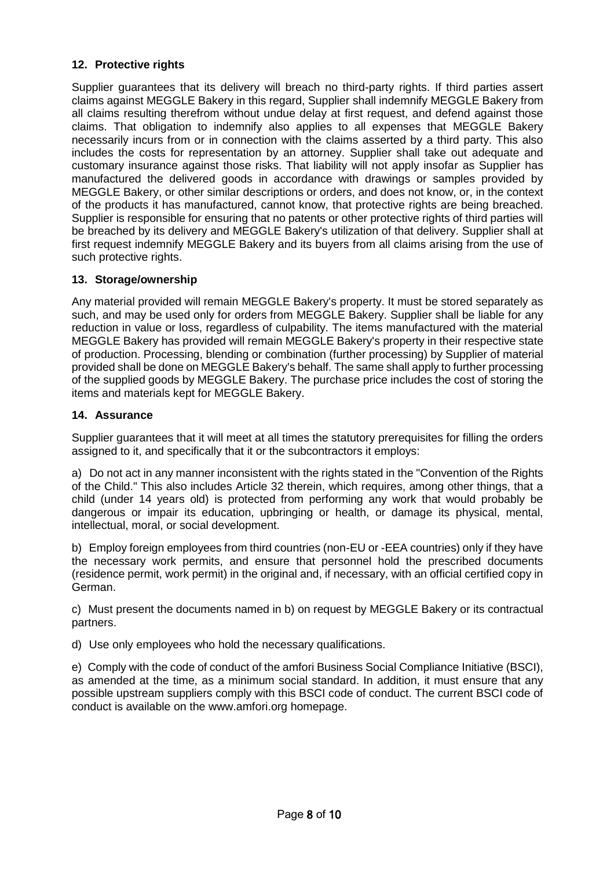## **12. Protective rights**

Supplier guarantees that its delivery will breach no third-party rights. If third parties assert claims against MEGGLE Bakery in this regard, Supplier shall indemnify MEGGLE Bakery from all claims resulting therefrom without undue delay at first request, and defend against those claims. That obligation to indemnify also applies to all expenses that MEGGLE Bakery necessarily incurs from or in connection with the claims asserted by a third party. This also includes the costs for representation by an attorney. Supplier shall take out adequate and customary insurance against those risks. That liability will not apply insofar as Supplier has manufactured the delivered goods in accordance with drawings or samples provided by MEGGLE Bakery, or other similar descriptions or orders, and does not know, or, in the context of the products it has manufactured, cannot know, that protective rights are being breached. Supplier is responsible for ensuring that no patents or other protective rights of third parties will be breached by its delivery and MEGGLE Bakery's utilization of that delivery. Supplier shall at first request indemnify MEGGLE Bakery and its buyers from all claims arising from the use of such protective rights.

## **13. Storage/ownership**

Any material provided will remain MEGGLE Bakery's property. It must be stored separately as such, and may be used only for orders from MEGGLE Bakery. Supplier shall be liable for any reduction in value or loss, regardless of culpability. The items manufactured with the material MEGGLE Bakery has provided will remain MEGGLE Bakery's property in their respective state of production. Processing, blending or combination (further processing) by Supplier of material provided shall be done on MEGGLE Bakery's behalf. The same shall apply to further processing of the supplied goods by MEGGLE Bakery. The purchase price includes the cost of storing the items and materials kept for MEGGLE Bakery.

## **14. Assurance**

Supplier guarantees that it will meet at all times the statutory prerequisites for filling the orders assigned to it, and specifically that it or the subcontractors it employs:

a) Do not act in any manner inconsistent with the rights stated in the "Convention of the Rights of the Child." This also includes Article 32 therein, which requires, among other things, that a child (under 14 years old) is protected from performing any work that would probably be dangerous or impair its education, upbringing or health, or damage its physical, mental, intellectual, moral, or social development.

b) Employ foreign employees from third countries (non-EU or -EEA countries) only if they have the necessary work permits, and ensure that personnel hold the prescribed documents (residence permit, work permit) in the original and, if necessary, with an official certified copy in German.

c) Must present the documents named in b) on request by MEGGLE Bakery or its contractual partners.

d) Use only employees who hold the necessary qualifications.

e) Comply with the code of conduct of the amfori Business Social Compliance Initiative (BSCI), as amended at the time, as a minimum social standard. In addition, it must ensure that any possible upstream suppliers comply with this BSCI code of conduct. The current BSCI code of conduct is available on the www.amfori.org homepage.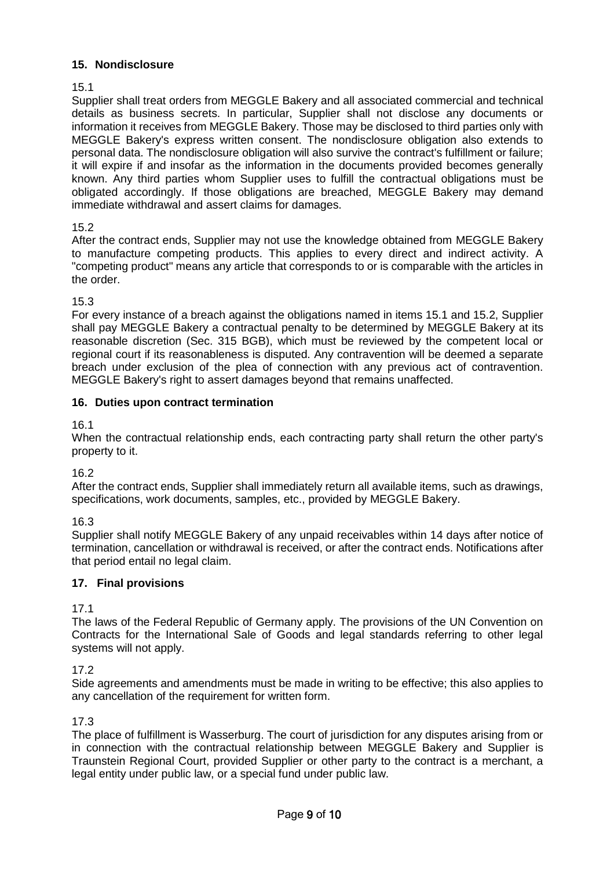## **15. Nondisclosure**

15.1

Supplier shall treat orders from MEGGLE Bakery and all associated commercial and technical details as business secrets. In particular, Supplier shall not disclose any documents or information it receives from MEGGLE Bakery. Those may be disclosed to third parties only with MEGGLE Bakery's express written consent. The nondisclosure obligation also extends to personal data. The nondisclosure obligation will also survive the contract's fulfillment or failure; it will expire if and insofar as the information in the documents provided becomes generally known. Any third parties whom Supplier uses to fulfill the contractual obligations must be obligated accordingly. If those obligations are breached, MEGGLE Bakery may demand immediate withdrawal and assert claims for damages.

## 15.2

After the contract ends, Supplier may not use the knowledge obtained from MEGGLE Bakery to manufacture competing products. This applies to every direct and indirect activity. A "competing product" means any article that corresponds to or is comparable with the articles in the order.

## 15.3

For every instance of a breach against the obligations named in items 15.1 and 15.2, Supplier shall pay MEGGLE Bakery a contractual penalty to be determined by MEGGLE Bakery at its reasonable discretion (Sec. 315 BGB), which must be reviewed by the competent local or regional court if its reasonableness is disputed. Any contravention will be deemed a separate breach under exclusion of the plea of connection with any previous act of contravention. MEGGLE Bakery's right to assert damages beyond that remains unaffected.

## **16. Duties upon contract termination**

### 16.1

When the contractual relationship ends, each contracting party shall return the other party's property to it.

16.2

After the contract ends, Supplier shall immediately return all available items, such as drawings, specifications, work documents, samples, etc., provided by MEGGLE Bakery.

16.3

Supplier shall notify MEGGLE Bakery of any unpaid receivables within 14 days after notice of termination, cancellation or withdrawal is received, or after the contract ends. Notifications after that period entail no legal claim.

# **17. Final provisions**

# 17.1

The laws of the Federal Republic of Germany apply. The provisions of the UN Convention on Contracts for the International Sale of Goods and legal standards referring to other legal systems will not apply.

# 17.2

Side agreements and amendments must be made in writing to be effective; this also applies to any cancellation of the requirement for written form.

# 17.3

The place of fulfillment is Wasserburg. The court of jurisdiction for any disputes arising from or in connection with the contractual relationship between MEGGLE Bakery and Supplier is Traunstein Regional Court, provided Supplier or other party to the contract is a merchant, a legal entity under public law, or a special fund under public law.